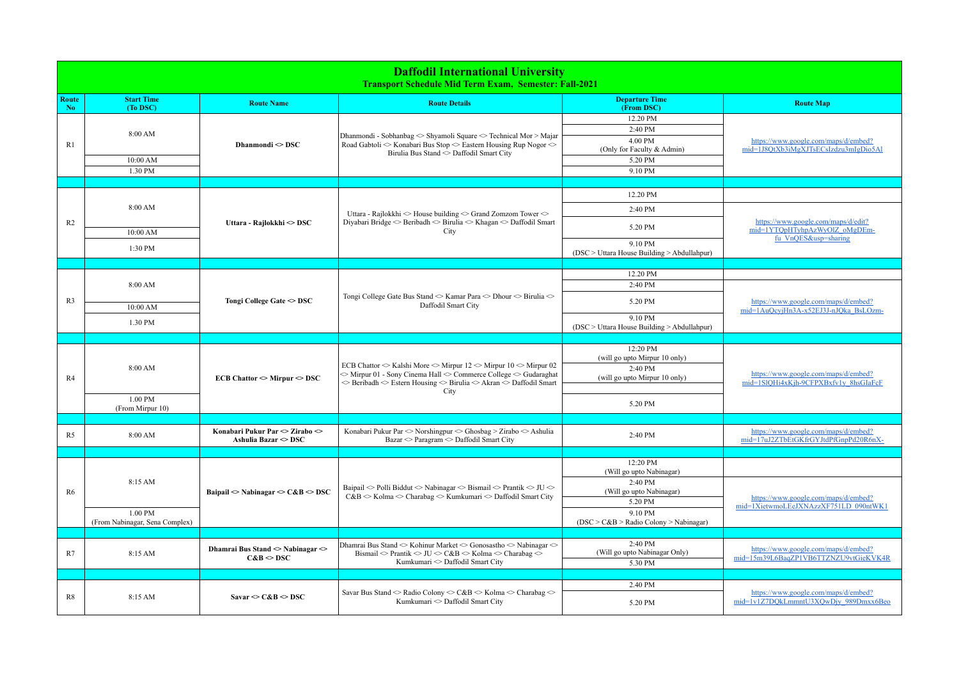| <b>Daffodil International University</b><br><b>Transport Schedule Mid Term Exam, Semester: Fall-2021</b> |                                           |                                                                |                                                                                                                                                                                                                                                                                                                       |                                                                                       |                                                                                              |  |  |  |
|----------------------------------------------------------------------------------------------------------|-------------------------------------------|----------------------------------------------------------------|-----------------------------------------------------------------------------------------------------------------------------------------------------------------------------------------------------------------------------------------------------------------------------------------------------------------------|---------------------------------------------------------------------------------------|----------------------------------------------------------------------------------------------|--|--|--|
| Route<br>N <sub>0</sub>                                                                                  | <b>Start Time</b><br>(To DSC)             | <b>Route Name</b>                                              | <b>Route Details</b>                                                                                                                                                                                                                                                                                                  | <b>Departure Time</b><br>(From DSC)                                                   | <b>Route Map</b>                                                                             |  |  |  |
| R <sub>1</sub>                                                                                           | 8:00 AM<br>10:00 AM<br>1.30 PM            | Dhanmondi $\sim$ DSC                                           | Dhanmondi - Sobhanbag $\Diamond$ Shyamoli Square $\Diamond$ Technical Mor > Majar<br>Road Gabtoli $\odot$ Konabari Bus Stop $\odot$ Eastern Housing Rup Nogor $\odot$<br>Birulia Bus Stand <> Daffodil Smart City                                                                                                     | 12.20 PM<br>2:40 PM<br>4.00 PM<br>(Only for Faculty & Admin)<br>5.20 PM<br>9.10 PM    | https://www.google.com/maps/d/embed?<br>mid=1J8QtXb3iMgXJTsECsIzdzu3mIgDio5Al                |  |  |  |
|                                                                                                          |                                           |                                                                |                                                                                                                                                                                                                                                                                                                       |                                                                                       |                                                                                              |  |  |  |
| R <sub>2</sub>                                                                                           | 8:00 AM                                   | Uttara - Rajlokkhi ◇ DSC                                       | Uttara - Rajlokkhi $\Diamond$ House building $\Diamond$ Grand Zomzom Tower $\Diamond$<br>Diyabari Bridge $\Diamond$ Beribadh $\Diamond$ Birulia $\Diamond$ Khagan $\Diamond$ Daffodil Smart<br>City                                                                                                                   | 12.20 PM<br>2:40 PM<br>5.20 PM                                                        | https://www.google.com/maps/d/edit?<br>mid=1YTQpHTyhpAzWyOlZ oMgDEm-<br>fu VnQES&usp=sharing |  |  |  |
|                                                                                                          | 10:00 AM<br>1:30 PM                       |                                                                |                                                                                                                                                                                                                                                                                                                       | 9.10 PM<br>(DSC > Uttara House Building > Abdullahpur)                                |                                                                                              |  |  |  |
|                                                                                                          |                                           |                                                                |                                                                                                                                                                                                                                                                                                                       |                                                                                       |                                                                                              |  |  |  |
|                                                                                                          | 8:00 AM                                   | Tongi College Gate <> DSC                                      | Tongi College Gate Bus Stand ◇ Kamar Para ◇ Dhour ◇ Birulia ◇<br>Daffodil Smart City                                                                                                                                                                                                                                  | 12.20 PM<br>2:40 PM                                                                   | https://www.google.com/maps/d/embed?<br>mid=1AuQcvjHn3A-x52EJ3J-nJQka BsLOzm-                |  |  |  |
| R <sub>3</sub>                                                                                           | 10:00 AM                                  |                                                                |                                                                                                                                                                                                                                                                                                                       | 5.20 PM<br>9.10 PM                                                                    |                                                                                              |  |  |  |
|                                                                                                          | 1.30 PM                                   |                                                                |                                                                                                                                                                                                                                                                                                                       | (DSC > Uttara House Building > Abdullahpur)                                           |                                                                                              |  |  |  |
|                                                                                                          |                                           |                                                                |                                                                                                                                                                                                                                                                                                                       |                                                                                       |                                                                                              |  |  |  |
| R4                                                                                                       | 8:00 AM                                   | $ECB$ Chattor $\sim$ Mirpur $\sim$ DSC                         | ECB Chattor $\Diamond$ Kalshi More $\Diamond$ Mirpur 12 $\Diamond$ Mirpur 10 $\Diamond$ Mirpur 02<br>$\Diamond$ Mirpur 01 - Sony Cinema Hall $\Diamond$ Commerce College $\Diamond$ Gudaraghat<br>$\Diamond$ Beribadh $\Diamond$ Estern Housing $\Diamond$ Birulia $\Diamond$ Akran $\Diamond$ Daffodil Smart<br>City | 12:20 PM<br>(will go upto Mirpur 10 only)<br>2:40 PM<br>(will go upto Mirpur 10 only) | https://www.google.com/maps/d/embed?<br>mid=1SlOHi4xKih-9CFPXBxfv1v 8hsGIaFcF                |  |  |  |
|                                                                                                          | 1.00 PM<br>(From Mirpur 10)               |                                                                |                                                                                                                                                                                                                                                                                                                       | 5.20 PM                                                                               |                                                                                              |  |  |  |
|                                                                                                          |                                           |                                                                |                                                                                                                                                                                                                                                                                                                       |                                                                                       |                                                                                              |  |  |  |
| R <sub>5</sub>                                                                                           | 8:00 AM                                   | Konabari Pukur Par ◇ Zirabo ◇<br>Ashulia Bazar <> DSC          | Konabari Pukur Par $\Diamond$ Norshingpur $\Diamond$ Ghosbag > Zirabo $\Diamond$ Ashulia<br>Bazar <> Paragram <> Daffodil Smart City                                                                                                                                                                                  | 2:40 PM                                                                               | https://www.google.com/maps/d/embed?<br>mid=17uJ2ZTbEtGKfrGYJtdPfGnpPd20R6nX-                |  |  |  |
|                                                                                                          |                                           |                                                                |                                                                                                                                                                                                                                                                                                                       | 12:20 PM                                                                              |                                                                                              |  |  |  |
|                                                                                                          | 8:15 AM                                   | Baipail $\odot$ Nabinagar $\odot$ C&B $\odot$ DSC              | Baipail < Polli Biddut < Nabinagar < Bismail < Prantik < JU <<br>$C&B \sim$ Kolma $\sim$ Charabag $\sim$ Kumkumari $\sim$ Daffodil Smart City                                                                                                                                                                         | (Will go upto Nabinagar)                                                              |                                                                                              |  |  |  |
| R6                                                                                                       |                                           |                                                                |                                                                                                                                                                                                                                                                                                                       | 2:40 PM<br>(Will go upto Nabinagar)<br>5.20 PM                                        | https://www.google.com/maps/d/embed?<br>mid=1XietwmoLEeJXNAzzXF751LD 090ntWK1                |  |  |  |
|                                                                                                          | 1.00 PM<br>(From Nabinagar, Sena Complex) |                                                                |                                                                                                                                                                                                                                                                                                                       | 9.10 PM<br>$(DSC > C&B > Radio Colony > Nabinagar)$                                   |                                                                                              |  |  |  |
|                                                                                                          |                                           |                                                                |                                                                                                                                                                                                                                                                                                                       |                                                                                       |                                                                                              |  |  |  |
| R7                                                                                                       | 8:15 AM                                   | Dhamrai Bus Stand <> Nabinagar <><br>$C&B \Leftrightarrow DSC$ | Dhamrai Bus Stand <> Kohinur Market <> Gonosastho <> Nabinagar <><br>Bismail $\Diamond$ Prantik $\Diamond$ JU $\Diamond$ C&B $\Diamond$ Kolma $\Diamond$ Charabag $\Diamond$<br>Kumkumari < Daffodil Smart City                                                                                                       | 2:40 PM<br>(Will go upto Nabinagar Only)<br>5.30 PM                                   | https://www.google.com/maps/d/embed?<br>mid=15m39L6BaqZP1VB6TTZNZU9vtGieKVK4R                |  |  |  |
|                                                                                                          |                                           |                                                                |                                                                                                                                                                                                                                                                                                                       |                                                                                       |                                                                                              |  |  |  |
| R8                                                                                                       | 8:15 AM                                   | Savar $\sim$ C&B $\sim$ DSC                                    | Savar Bus Stand $\Diamond$ Radio Colony $\Diamond$ C&B $\Diamond$ Kolma $\Diamond$ Charabag $\Diamond$<br>Kumkumari < Daffodil Smart City                                                                                                                                                                             | 2.40 PM<br>5.20 PM                                                                    | https://www.google.com/maps/d/embed?<br>mid=1v1Z7DQkLmmntU3XQwDjy 989Dmxx6Beo                |  |  |  |